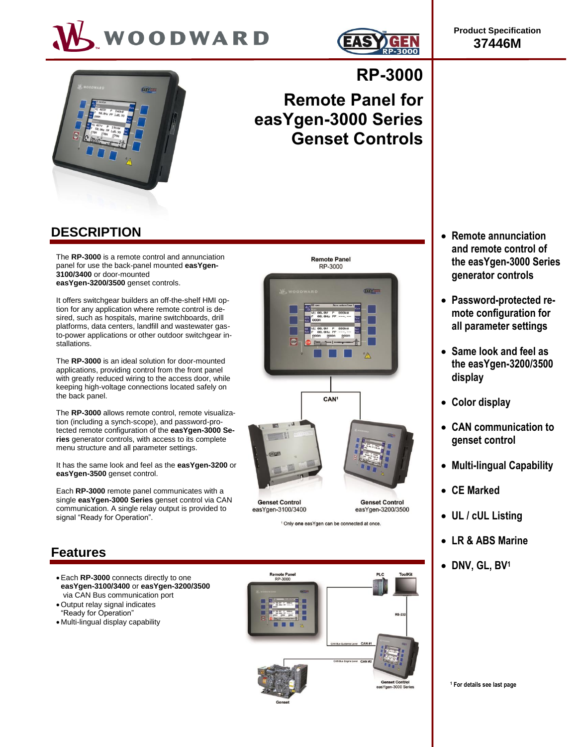



**RP-3000**



# **Remote Panel for easYgen-3000 Series Genset Controls**

### **DESCRIPTION**

The **RP-3000** is a remote control and annunciation panel for use the back-panel mounted **easYgen-3100/3400** or door-mounted **easYgen-3200/3500** genset controls.

It offers switchgear builders an off-the-shelf HMI option for any application where remote control is desired, such as hospitals, marine switchboards, drill platforms, data centers, landfill and wastewater gasto-power applications or other outdoor switchgear installations.

The **RP-3000** is an ideal solution for door-mounted applications, providing control from the front panel with greatly reduced wiring to the access door, while keeping high-voltage connections located safely on the back panel.

The **RP-3000** allows remote control, remote visualization (including a synch-scope), and password-protected remote configuration of the **easYgen-3000 Series** generator controls, with access to its complete menu structure and all parameter settings.

It has the same look and feel as the **easYgen-3200** or **easYgen-3500** genset control.

Each **RP-3000** remote panel communicates with a single **easYgen-3000 Series** genset control via CAN communication. A single relay output is provided to signal "Ready for Operation".

# RP-3000 EASY

**Remote Panel** 



**Genset Control Genset Control** easYgen-3200/3500 easYgen-3100/3400

<sup>1</sup> Only one easYgen can be connected at once.

### **Features**

- Each **RP-3000** connects directly to one **easYgen-3100/3400** or **easYgen-3200/3500** via CAN Bus communication port
- Output relay signal indicates "Ready for Operation"
- Multi-lingual display capability



- **Remote annunciation and remote control of the easYgen-3000 Series generator controls**
- **Password-protected remote configuration for all parameter settings**
- **Same look and feel as the easYgen-3200/3500 display**
- **Color display**
- **CAN communication to genset control**
- **Multi-lingual Capability**
- **CE Marked**
- **UL / cUL Listing**
- **LR & ABS Marine**
- **DNV, GL, BV<sup>1</sup>**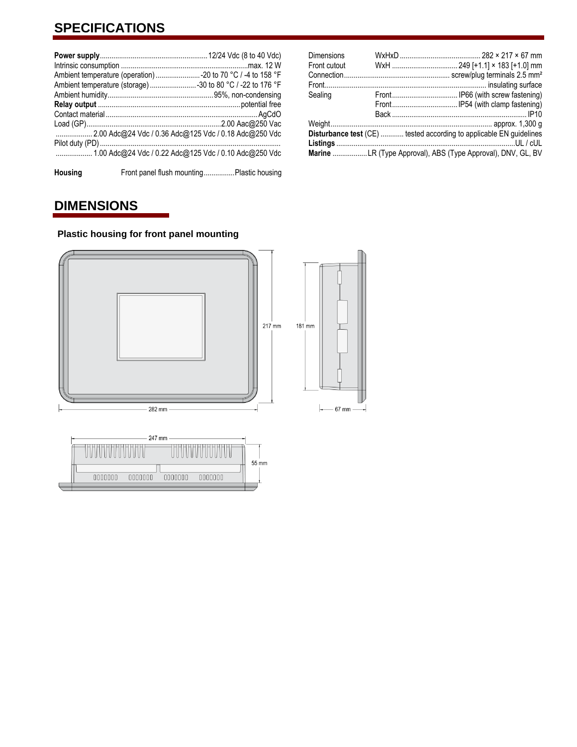### **SPECIFICATIONS**

| Ambient temperature (operation)  - 20 to 70 °C / -4 to 158 °F |  |
|---------------------------------------------------------------|--|
| Ambient temperature (storage) 30 to 80 °C / -22 to 176 °F     |  |
|                                                               |  |
|                                                               |  |
|                                                               |  |
|                                                               |  |
| 2.00 Adc@24 Vdc / 0.36 Adc@125 Vdc / 0.18 Adc@250 Vdc         |  |
|                                                               |  |
| 1.00 Adc@24 Vdc / 0.22 Adc@125 Vdc / 0.10 Adc@250 Vdc         |  |
|                                                               |  |

**Housing** Front panel flush mounting................Plastic housing

| Dimensions<br>Front cutout |                                                                            |
|----------------------------|----------------------------------------------------------------------------|
|                            |                                                                            |
| Sealing                    |                                                                            |
|                            | <b>Disturbance test</b> (CE)  tested according to applicable EN guidelines |
|                            | Marine LR (Type Approval), ABS (Type Approval), DNV, GL, BV                |

# **DIMENSIONS**

### **Plastic housing for front panel mounting**

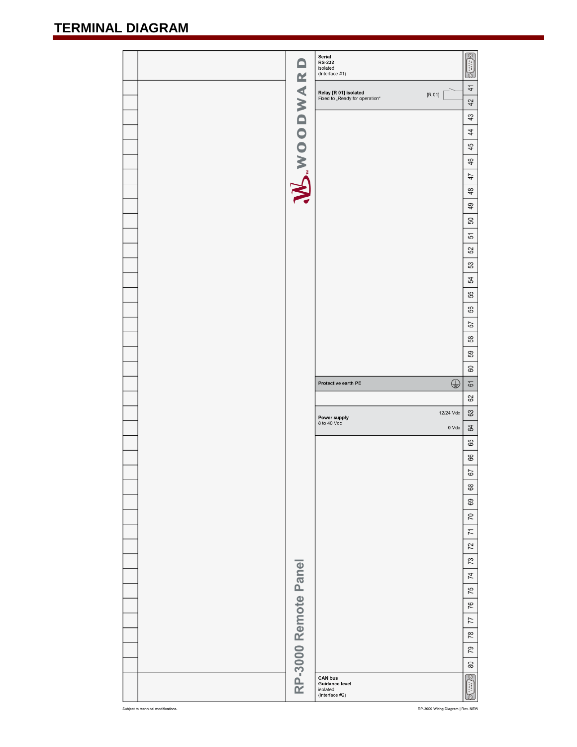# **TERMINAL DIAGRAM**

|  |                      | Serial<br><b>RS-232</b><br>isolated                               | O                         |
|--|----------------------|-------------------------------------------------------------------|---------------------------|
|  |                      | (Interface #1)                                                    | $\overline{0}$            |
|  | W.WOODWAR            | Relay [R 01] isolated<br>[R 01]<br>Fixed to "Ready for operation" | $\overline{4}$<br>42      |
|  |                      |                                                                   | 43                        |
|  |                      |                                                                   | $\ddot{4}$                |
|  |                      |                                                                   | 45                        |
|  |                      |                                                                   | 46                        |
|  |                      |                                                                   | 47                        |
|  |                      |                                                                   | 48                        |
|  |                      |                                                                   | 49                        |
|  |                      |                                                                   | 50                        |
|  |                      |                                                                   | 5                         |
|  |                      |                                                                   | 52                        |
|  |                      |                                                                   | 53                        |
|  |                      |                                                                   | 54                        |
|  |                      |                                                                   | 55                        |
|  |                      |                                                                   | 56                        |
|  |                      |                                                                   | 57                        |
|  |                      |                                                                   | 58                        |
|  |                      |                                                                   | 59                        |
|  |                      |                                                                   | 60                        |
|  |                      | $\oplus$<br>Protective earth PE                                   | 61                        |
|  |                      |                                                                   |                           |
|  |                      |                                                                   | 62                        |
|  |                      | 12/24 Vdc<br>Power supply<br>8 to 40 Vdc                          | 63                        |
|  |                      | $0$ $Vdc$                                                         | $\mathfrak{P}$            |
|  |                      |                                                                   | 65                        |
|  |                      |                                                                   | 89                        |
|  |                      |                                                                   | 67                        |
|  |                      |                                                                   | 68                        |
|  |                      |                                                                   | 69                        |
|  |                      |                                                                   | 70                        |
|  |                      |                                                                   | $\overline{7}$<br>72      |
|  |                      |                                                                   | 73                        |
|  |                      |                                                                   | $\overline{7}$            |
|  |                      |                                                                   | 75                        |
|  |                      |                                                                   | 76                        |
|  |                      |                                                                   | 77                        |
|  |                      |                                                                   | 78                        |
|  |                      |                                                                   | 79                        |
|  |                      |                                                                   | $\rm 80$                  |
|  | RP-3000 Remote Panel | <b>CAN bus</b><br><b>Guidance level</b><br>isolated               | $\circledcirc$<br>0.00000 |